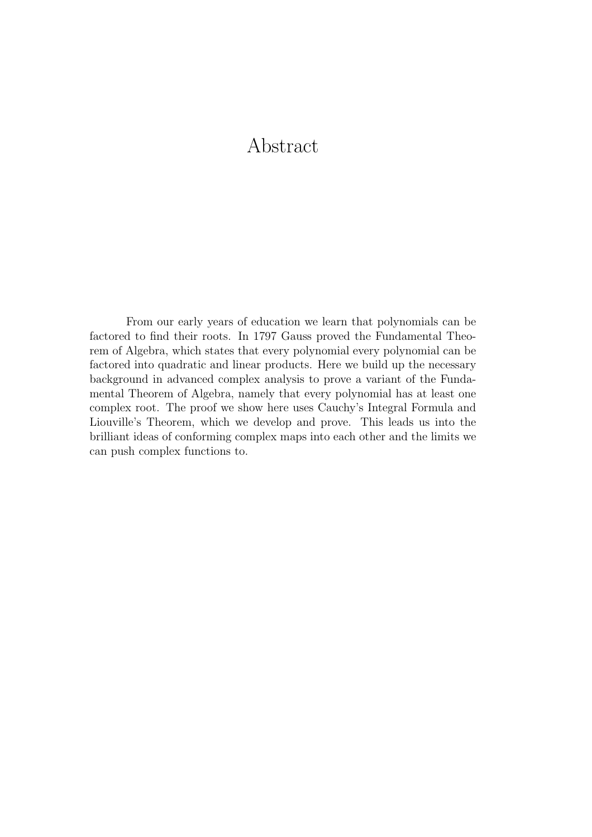# Abstract

From our early years of education we learn that polynomials can be factored to find their roots. In 1797 Gauss proved the Fundamental Theorem of Algebra, which states that every polynomial every polynomial can be factored into quadratic and linear products. Here we build up the necessary background in advanced complex analysis to prove a variant of the Fundamental Theorem of Algebra, namely that every polynomial has at least one complex root. The proof we show here uses Cauchy's Integral Formula and Liouville's Theorem, which we develop and prove. This leads us into the brilliant ideas of conforming complex maps into each other and the limits we can push complex functions to.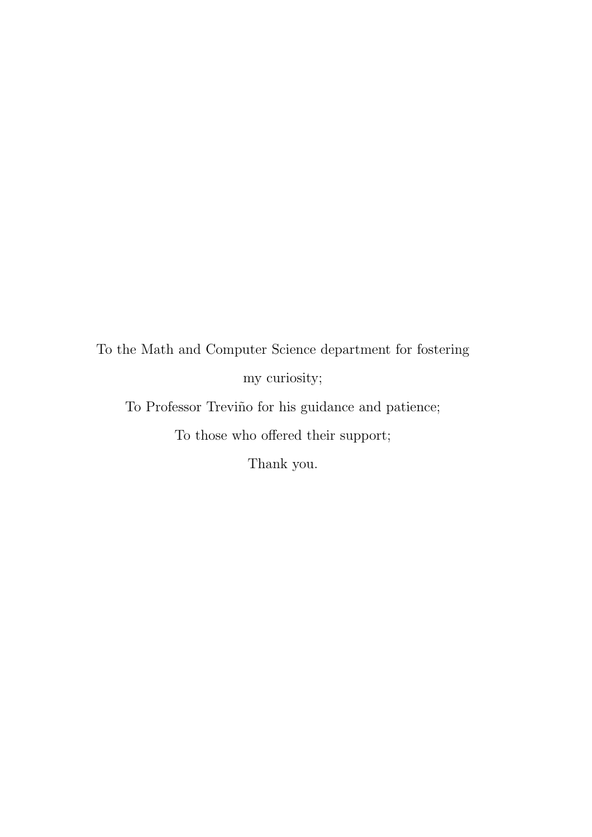To the Math and Computer Science department for fostering my curiosity;

To Professor Treviño for his guidance and patience; To those who offered their support;

Thank you.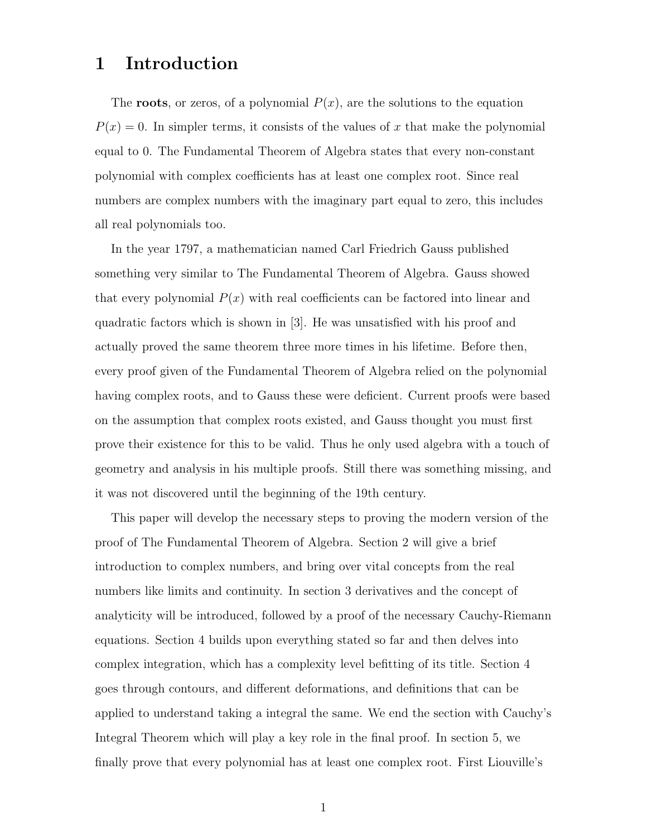## 1 Introduction

The **roots**, or zeros, of a polynomial  $P(x)$ , are the solutions to the equation  $P(x) = 0$ . In simpler terms, it consists of the values of x that make the polynomial equal to 0. The Fundamental Theorem of Algebra states that every non-constant polynomial with complex coefficients has at least one complex root. Since real numbers are complex numbers with the imaginary part equal to zero, this includes all real polynomials too.

In the year 1797, a mathematician named Carl Friedrich Gauss published something very similar to The Fundamental Theorem of Algebra. Gauss showed that every polynomial  $P(x)$  with real coefficients can be factored into linear and quadratic factors which is shown in [3]. He was unsatisfied with his proof and actually proved the same theorem three more times in his lifetime. Before then, every proof given of the Fundamental Theorem of Algebra relied on the polynomial having complex roots, and to Gauss these were deficient. Current proofs were based on the assumption that complex roots existed, and Gauss thought you must first prove their existence for this to be valid. Thus he only used algebra with a touch of geometry and analysis in his multiple proofs. Still there was something missing, and it was not discovered until the beginning of the 19th century.

This paper will develop the necessary steps to proving the modern version of the proof of The Fundamental Theorem of Algebra. Section 2 will give a brief introduction to complex numbers, and bring over vital concepts from the real numbers like limits and continuity. In section 3 derivatives and the concept of analyticity will be introduced, followed by a proof of the necessary Cauchy-Riemann equations. Section 4 builds upon everything stated so far and then delves into complex integration, which has a complexity level befitting of its title. Section 4 goes through contours, and different deformations, and definitions that can be applied to understand taking a integral the same. We end the section with Cauchy's Integral Theorem which will play a key role in the final proof. In section 5, we finally prove that every polynomial has at least one complex root. First Liouville's

1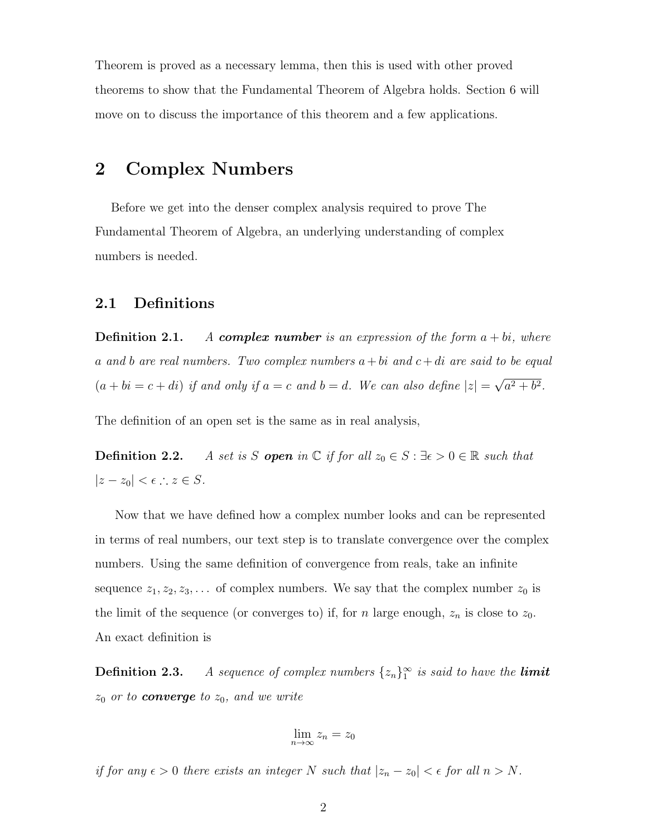Theorem is proved as a necessary lemma, then this is used with other proved theorems to show that the Fundamental Theorem of Algebra holds. Section 6 will move on to discuss the importance of this theorem and a few applications.

## 2 Complex Numbers

Before we get into the denser complex analysis required to prove The Fundamental Theorem of Algebra, an underlying understanding of complex numbers is needed.

#### 2.1 Definitions

**Definition 2.1.** A complex number is an expression of the form  $a + bi$ , where a and b are real numbers. Two complex numbers  $a + bi$  and  $c + di$  are said to be equal  $(a + bi = c + di)$  if and only if  $a = c$  and  $b = d$ . We can also define  $|z| =$ √  $a^2 + b^2$ .

The definition of an open set is the same as in real analysis,

**Definition 2.2.** A set is S **open** in  $\mathbb C$  if for all  $z_0 \in S : \exists \epsilon > 0 \in \mathbb R$  such that  $|z - z_0| < \epsilon$  :  $z \in S$ .

Now that we have defined how a complex number looks and can be represented in terms of real numbers, our text step is to translate convergence over the complex numbers. Using the same definition of convergence from reals, take an infinite sequence  $z_1, z_2, z_3, \ldots$  of complex numbers. We say that the complex number  $z_0$  is the limit of the sequence (or converges to) if, for n large enough,  $z_n$  is close to  $z_0$ . An exact definition is

**Definition 2.3.** A sequence of complex numbers  $\{z_n\}_1^{\infty}$  is said to have the **limit**  $z_0$  or to **converge** to  $z_0$ , and we write

$$
\lim_{n\to\infty}z_n=z_0
$$

if for any  $\epsilon > 0$  there exists an integer N such that  $|z_n - z_0| < \epsilon$  for all  $n > N$ .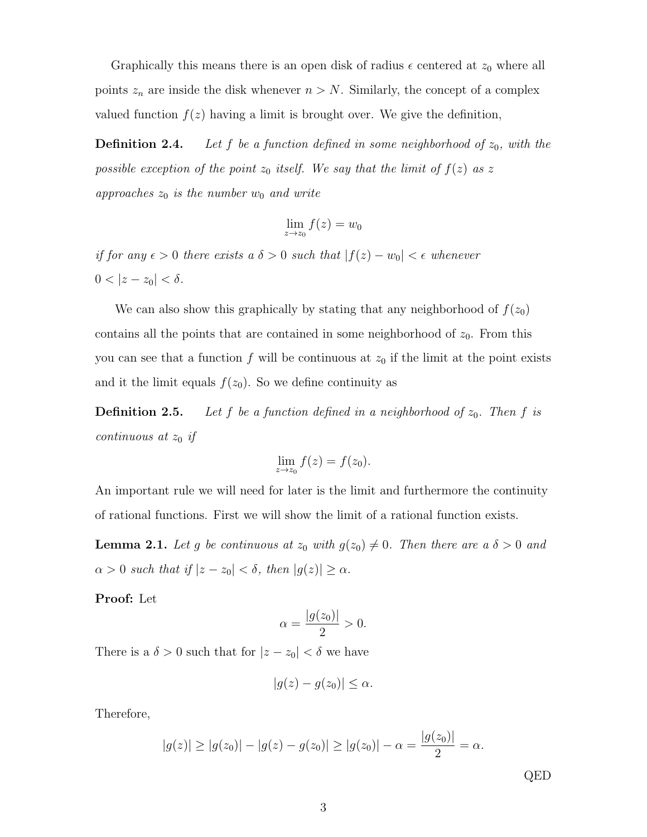Graphically this means there is an open disk of radius  $\epsilon$  centered at  $z_0$  where all points  $z_n$  are inside the disk whenever  $n > N$ . Similarly, the concept of a complex valued function  $f(z)$  having a limit is brought over. We give the definition,

**Definition 2.4.** Let f be a function defined in some neighborhood of  $z_0$ , with the possible exception of the point  $z_0$  itself. We say that the limit of  $f(z)$  as z approaches  $z_0$  is the number  $w_0$  and write

$$
\lim_{z \to z_0} f(z) = w_0
$$

if for any  $\epsilon > 0$  there exists a  $\delta > 0$  such that  $|f(z) - w_0| < \epsilon$  whenever  $0 < |z - z_0| < \delta.$ 

We can also show this graphically by stating that any neighborhood of  $f(z_0)$ contains all the points that are contained in some neighborhood of  $z_0$ . From this you can see that a function f will be continuous at  $z_0$  if the limit at the point exists and it the limit equals  $f(z_0)$ . So we define continuity as

**Definition 2.5.** Let f be a function defined in a neighborhood of  $z_0$ . Then f is continuous at  $z_0$  if

$$
\lim_{z \to z_0} f(z) = f(z_0).
$$

An important rule we will need for later is the limit and furthermore the continuity of rational functions. First we will show the limit of a rational function exists.

**Lemma 2.1.** Let g be continuous at  $z_0$  with  $g(z_0) \neq 0$ . Then there are a  $\delta > 0$  and  $\alpha > 0$  such that if  $|z - z_0| < \delta$ , then  $|g(z)| \ge \alpha$ .

Proof: Let

$$
\alpha = \frac{|g(z_0)|}{2} > 0.
$$

There is a  $\delta > 0$  such that for  $|z - z_0| < \delta$  we have

$$
|g(z) - g(z_0)| \leq \alpha.
$$

Therefore,

$$
|g(z)| \ge |g(z_0)| - |g(z) - g(z_0)| \ge |g(z_0)| - \alpha = \frac{|g(z_0)|}{2} = \alpha.
$$

QED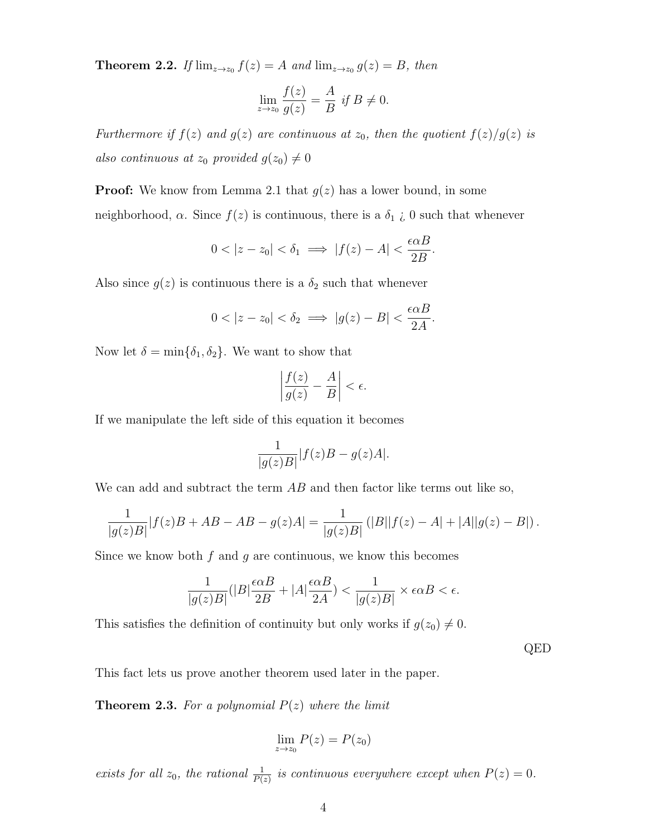**Theorem 2.2.** If  $\lim_{z\to z_0} f(z) = A$  and  $\lim_{z\to z_0} g(z) = B$ , then

$$
\lim_{z \to z_0} \frac{f(z)}{g(z)} = \frac{A}{B} \text{ if } B \neq 0.
$$

Furthermore if  $f(z)$  and  $g(z)$  are continuous at  $z_0$ , then the quotient  $f(z)/g(z)$  is also continuous at  $z_0$  provided  $g(z_0) \neq 0$ 

**Proof:** We know from Lemma 2.1 that  $g(z)$  has a lower bound, in some neighborhood,  $\alpha$ . Since  $f(z)$  is continuous, there is a  $\delta_1$  *i*, 0 such that whenever

$$
0 < |z - z_0| < \delta_1 \implies |f(z) - A| < \frac{\epsilon \alpha B}{2B}.
$$

Also since  $g(z)$  is continuous there is a  $\delta_2$  such that whenever

$$
0 < |z - z_0| < \delta_2 \implies |g(z) - B| < \frac{\epsilon \alpha B}{2A}.
$$

Now let  $\delta = \min{\{\delta_1, \delta_2\}}$ . We want to show that

$$
\left|\frac{f(z)}{g(z)} - \frac{A}{B}\right| < \epsilon.
$$

If we manipulate the left side of this equation it becomes

$$
\frac{1}{|g(z)B|}|f(z)B - g(z)A|.
$$

We can add and subtract the term  $AB$  and then factor like terms out like so,

$$
\frac{1}{|g(z)B|}|f(z)B+AB-AB-g(z)A|=\frac{1}{|g(z)B|}(|B||f(z)-A|+|A||g(z)-B|).
$$

Since we know both  $f$  and  $g$  are continuous, we know this becomes

$$
\frac{1}{|g(z)B|}(|B|\frac{\epsilon \alpha B}{2B} + |A|\frac{\epsilon \alpha B}{2A}) < \frac{1}{|g(z)B|} \times \epsilon \alpha B < \epsilon.
$$

This satisfies the definition of continuity but only works if  $g(z_0) \neq 0$ .

QED

This fact lets us prove another theorem used later in the paper.

**Theorem 2.3.** For a polynomial  $P(z)$  where the limit

$$
\lim_{z \to z_0} P(z) = P(z_0)
$$

exists for all  $z_0$ , the rational  $\frac{1}{P(z)}$  is continuous everywhere except when  $P(z) = 0$ .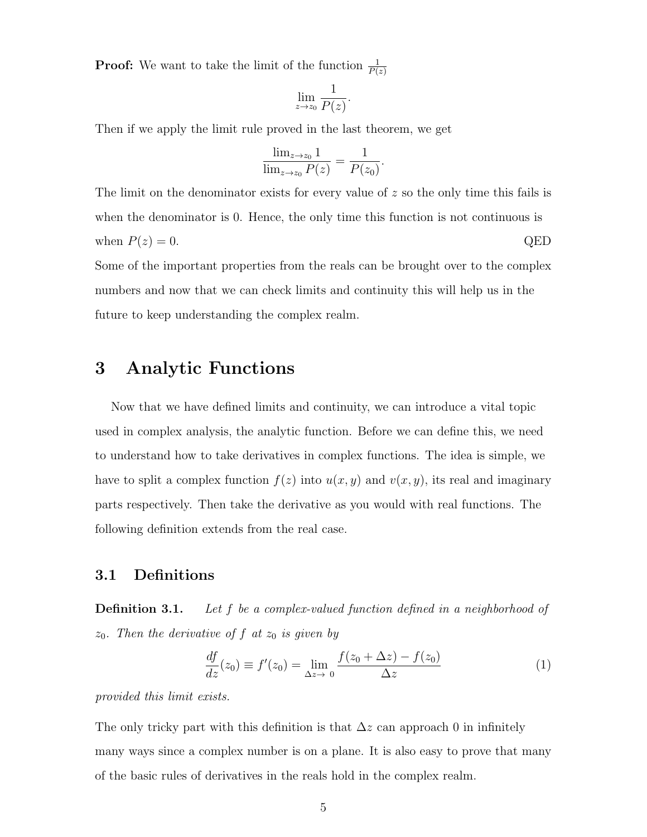**Proof:** We want to take the limit of the function  $\frac{1}{P(z)}$ 

$$
\lim_{z \to z_0} \frac{1}{P(z)}.
$$

Then if we apply the limit rule proved in the last theorem, we get

$$
\frac{\lim_{z \to z_0} 1}{\lim_{z \to z_0} P(z)} = \frac{1}{P(z_0)}.
$$

The limit on the denominator exists for every value of z so the only time this fails is when the denominator is 0. Hence, the only time this function is not continuous is when  $P(z) = 0$ . QED Some of the important properties from the reals can be brought over to the complex numbers and now that we can check limits and continuity this will help us in the future to keep understanding the complex realm.

# 3 Analytic Functions

Now that we have defined limits and continuity, we can introduce a vital topic used in complex analysis, the analytic function. Before we can define this, we need to understand how to take derivatives in complex functions. The idea is simple, we have to split a complex function  $f(z)$  into  $u(x, y)$  and  $v(x, y)$ , its real and imaginary parts respectively. Then take the derivative as you would with real functions. The following definition extends from the real case.

#### 3.1 Definitions

**Definition 3.1.** Let  $f$  be a complex-valued function defined in a neighborhood of  $z_0$ . Then the derivative of f at  $z_0$  is given by

$$
\frac{df}{dz}(z_0) \equiv f'(z_0) = \lim_{\Delta z \to 0} \frac{f(z_0 + \Delta z) - f(z_0)}{\Delta z}
$$
\n(1)

provided this limit exists.

The only tricky part with this definition is that  $\Delta z$  can approach 0 in infinitely many ways since a complex number is on a plane. It is also easy to prove that many of the basic rules of derivatives in the reals hold in the complex realm.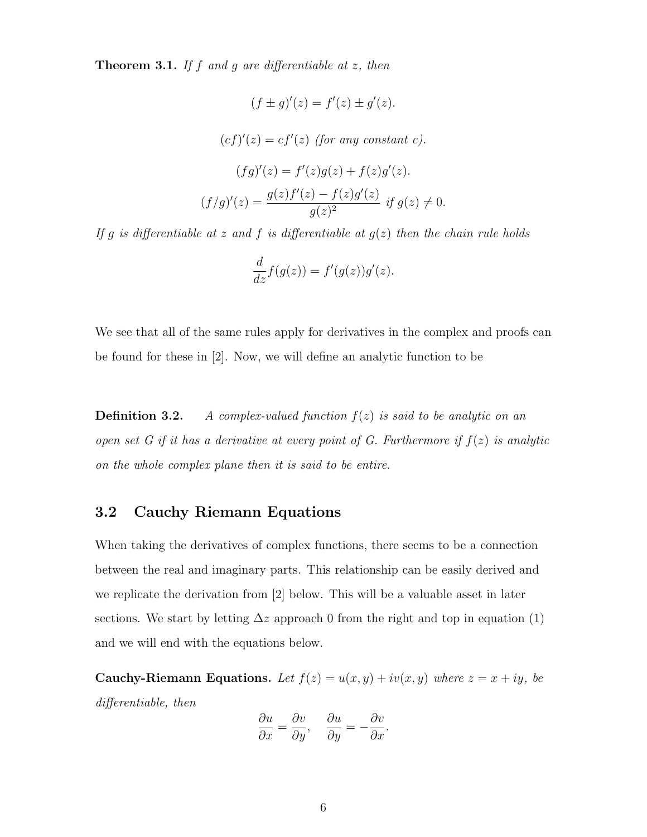**Theorem 3.1.** If f and g are differentiable at  $z$ , then

$$
(f \pm g)'(z) = f'(z) \pm g'(z).
$$

$$
(cf)'(z) = cf'(z) \text{ (for any constant } c).
$$

$$
(fg)'(z) = f'(z)g(z) + f(z)g'(z).
$$

$$
(f/g)'(z) = \frac{g(z)f'(z) - f(z)g'(z)}{g(z)^2} \text{ if } g(z) \neq 0.
$$

If g is differentiable at z and f is differentiable at  $g(z)$  then the chain rule holds

$$
\frac{d}{dz}f(g(z)) = f'(g(z))g'(z).
$$

We see that all of the same rules apply for derivatives in the complex and proofs can be found for these in [2]. Now, we will define an analytic function to be

**Definition 3.2.** A complex-valued function  $f(z)$  is said to be analytic on an open set G if it has a derivative at every point of G. Furthermore if  $f(z)$  is analytic on the whole complex plane then it is said to be entire.

#### 3.2 Cauchy Riemann Equations

When taking the derivatives of complex functions, there seems to be a connection between the real and imaginary parts. This relationship can be easily derived and we replicate the derivation from [2] below. This will be a valuable asset in later sections. We start by letting  $\Delta z$  approach 0 from the right and top in equation (1) and we will end with the equations below.

Cauchy-Riemann Equations. Let  $f(z) = u(x, y) + iv(x, y)$  where  $z = x + iy$ , be differentiable, then

$$
\frac{\partial u}{\partial x} = \frac{\partial v}{\partial y}, \quad \frac{\partial u}{\partial y} = -\frac{\partial v}{\partial x}.
$$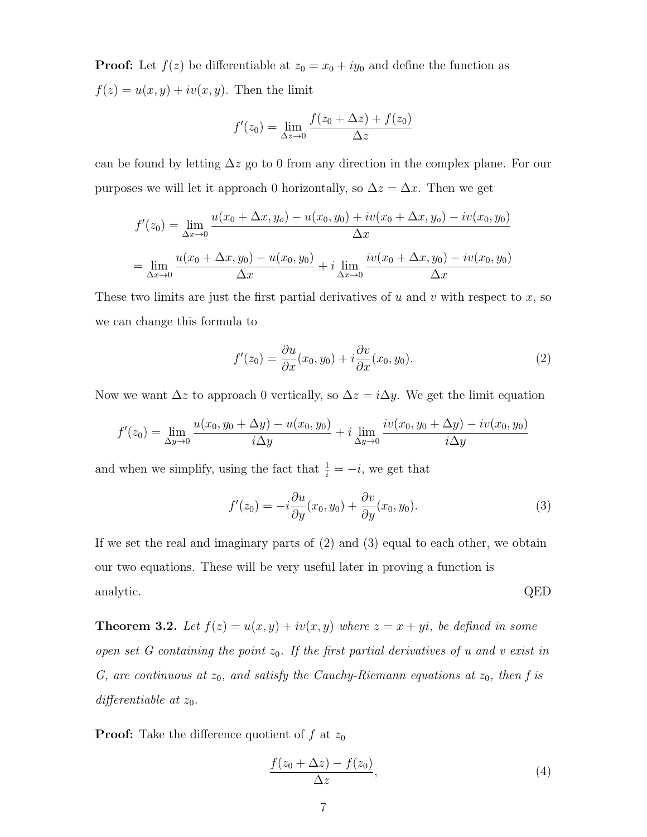**Proof:** Let  $f(z)$  be differentiable at  $z_0 = x_0 + iy_0$  and define the function as  $f(z) = u(x, y) + iv(x, y)$ . Then the limit

$$
f'(z_0) = \lim_{\Delta z \to 0} \frac{f(z_0 + \Delta z) + f(z_0)}{\Delta z}
$$

can be found by letting  $\Delta z$  go to 0 from any direction in the complex plane. For our purposes we will let it approach 0 horizontally, so  $\Delta z = \Delta x$ . Then we get

$$
f'(z_0) = \lim_{\Delta x \to 0} \frac{u(x_0 + \Delta x, y_0) - u(x_0, y_0) + iv(x_0 + \Delta x, y_0) - iv(x_0, y_0)}{\Delta x}
$$
  
= 
$$
\lim_{\Delta x \to 0} \frac{u(x_0 + \Delta x, y_0) - u(x_0, y_0)}{\Delta x} + i \lim_{\Delta x \to 0} \frac{iv(x_0 + \Delta x, y_0) - iv(x_0, y_0)}{\Delta x}
$$

These two limits are just the first partial derivatives of u and v with respect to x, so we can change this formula to

$$
f'(z_0) = \frac{\partial u}{\partial x}(x_0, y_0) + i \frac{\partial v}{\partial x}(x_0, y_0).
$$
 (2)

Now we want  $\Delta z$  to approach 0 vertically, so  $\Delta z = i \Delta y$ . We get the limit equation

$$
f'(z_0) = \lim_{\Delta y \to 0} \frac{u(x_0, y_0 + \Delta y) - u(x_0, y_0)}{i \Delta y} + i \lim_{\Delta y \to 0} \frac{iv(x_0, y_0 + \Delta y) - iv(x_0, y_0)}{i \Delta y}
$$

and when we simplify, using the fact that  $\frac{1}{i} = -i$ , we get that

$$
f'(z_0) = -i\frac{\partial u}{\partial y}(x_0, y_0) + \frac{\partial v}{\partial y}(x_0, y_0).
$$
\n(3)

If we set the real and imaginary parts of (2) and (3) equal to each other, we obtain our two equations. These will be very useful later in proving a function is analytic.  $QED$ 

**Theorem 3.2.** Let  $f(z) = u(x, y) + iv(x, y)$  where  $z = x + yi$ , be defined in some open set  $G$  containing the point  $z_0$ . If the first partial derivatives of u and v exist in G, are continuous at  $z_0$ , and satisfy the Cauchy-Riemann equations at  $z_0$ , then f is differentiable at  $z_0$ .

**Proof:** Take the difference quotient of f at  $z_0$ 

$$
\frac{f(z_0 + \Delta z) - f(z_0)}{\Delta z},\tag{4}
$$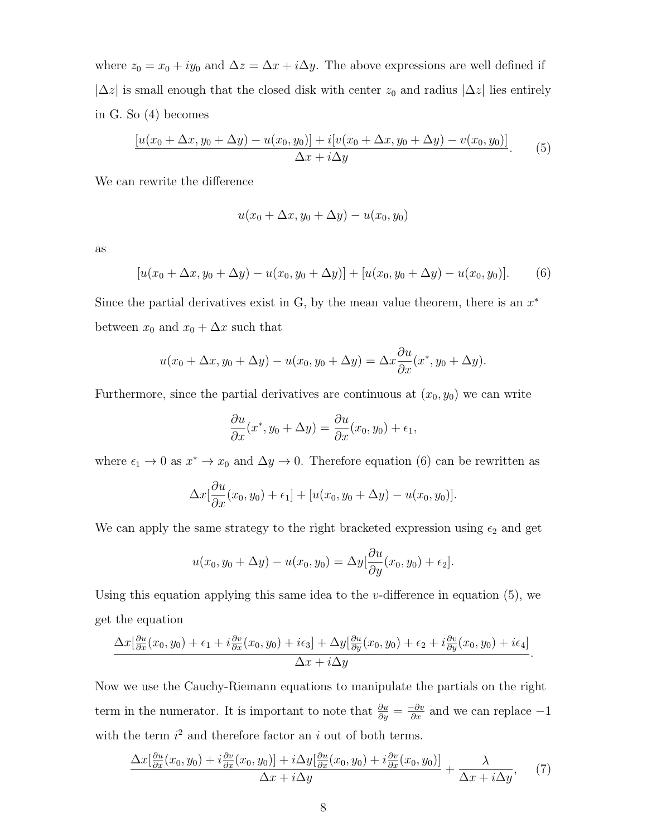where  $z_0 = x_0 + iy_0$  and  $\Delta z = \Delta x + i\Delta y$ . The above expressions are well defined if  $|\Delta z|$  is small enough that the closed disk with center  $z_0$  and radius  $|\Delta z|$  lies entirely in G. So (4) becomes

$$
\frac{[u(x_0 + \Delta x, y_0 + \Delta y) - u(x_0, y_0)] + i[v(x_0 + \Delta x, y_0 + \Delta y) - v(x_0, y_0)]}{\Delta x + i\Delta y}.
$$
 (5)

We can rewrite the difference

$$
u(x_0 + \Delta x, y_0 + \Delta y) - u(x_0, y_0)
$$

as

$$
[u(x_0 + \Delta x, y_0 + \Delta y) - u(x_0, y_0 + \Delta y)] + [u(x_0, y_0 + \Delta y) - u(x_0, y_0)].
$$
 (6)

Since the partial derivatives exist in G, by the mean value theorem, there is an  $x^*$ between  $x_0$  and  $x_0 + \Delta x$  such that

$$
u(x_0 + \Delta x, y_0 + \Delta y) - u(x_0, y_0 + \Delta y) = \Delta x \frac{\partial u}{\partial x}(x^*, y_0 + \Delta y).
$$

Furthermore, since the partial derivatives are continuous at  $(x_0, y_0)$  we can write

$$
\frac{\partial u}{\partial x}(x^*, y_0 + \Delta y) = \frac{\partial u}{\partial x}(x_0, y_0) + \epsilon_1,
$$

where  $\epsilon_1 \to 0$  as  $x^* \to x_0$  and  $\Delta y \to 0$ . Therefore equation (6) can be rewritten as

$$
\Delta x[\frac{\partial u}{\partial x}(x_0, y_0) + \epsilon_1] + [u(x_0, y_0 + \Delta y) - u(x_0, y_0)].
$$

We can apply the same strategy to the right bracketed expression using  $\epsilon_2$  and get

$$
u(x_0, y_0 + \Delta y) - u(x_0, y_0) = \Delta y \left[ \frac{\partial u}{\partial y}(x_0, y_0) + \epsilon_2 \right].
$$

Using this equation applying this same idea to the  $v$ -difference in equation  $(5)$ , we get the equation

$$
\frac{\Delta x[\frac{\partial u}{\partial x}(x_0, y_0) + \epsilon_1 + i\frac{\partial v}{\partial x}(x_0, y_0) + i\epsilon_3] + \Delta y[\frac{\partial u}{\partial y}(x_0, y_0) + \epsilon_2 + i\frac{\partial v}{\partial y}(x_0, y_0) + i\epsilon_4]}{\Delta x + i\Delta y}.
$$

Now we use the Cauchy-Riemann equations to manipulate the partials on the right term in the numerator. It is important to note that  $\frac{\partial u}{\partial y} = \frac{-\partial v}{\partial x}$  and we can replace  $-1$ with the term  $i^2$  and therefore factor an i out of both terms.

$$
\frac{\Delta x[\frac{\partial u}{\partial x}(x_0, y_0) + i\frac{\partial v}{\partial x}(x_0, y_0)] + i\Delta y[\frac{\partial u}{\partial x}(x_0, y_0) + i\frac{\partial v}{\partial x}(x_0, y_0)]}{\Delta x + i\Delta y} + \frac{\lambda}{\Delta x + i\Delta y}, \quad (7)
$$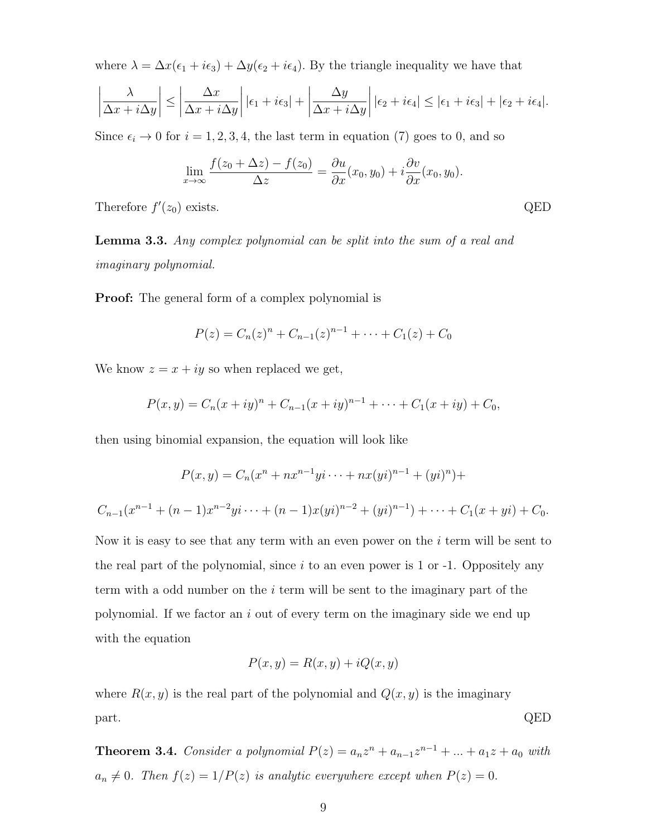where  $\lambda = \Delta x(\epsilon_1 + i\epsilon_3) + \Delta y(\epsilon_2 + i\epsilon_4)$ . By the triangle inequality we have that

$$
\left|\frac{\lambda}{\Delta x + i\Delta y}\right| \le \left|\frac{\Delta x}{\Delta x + i\Delta y}\right| |\epsilon_1 + i\epsilon_3| + \left|\frac{\Delta y}{\Delta x + i\Delta y}\right| |\epsilon_2 + i\epsilon_4| \le |\epsilon_1 + i\epsilon_3| + |\epsilon_2 + i\epsilon_4|.
$$

Since  $\epsilon_i \to 0$  for  $i = 1, 2, 3, 4$ , the last term in equation (7) goes to 0, and so

$$
\lim_{x \to \infty} \frac{f(z_0 + \Delta z) - f(z_0)}{\Delta z} = \frac{\partial u}{\partial x}(x_0, y_0) + i \frac{\partial v}{\partial x}(x_0, y_0).
$$

Therefore  $f'(z_0)$  exists. QED

Lemma 3.3. Any complex polynomial can be split into the sum of a real and imaginary polynomial.

**Proof:** The general form of a complex polynomial is

$$
P(z) = C_n(z)^n + C_{n-1}(z)^{n-1} + \dots + C_1(z) + C_0
$$

We know  $z = x + iy$  so when replaced we get,

$$
P(x, y) = C_n(x + iy)^n + C_{n-1}(x + iy)^{n-1} + \dots + C_1(x + iy) + C_0,
$$

then using binomial expansion, the equation will look like

$$
P(x, y) = C_n(x^n + nx^{n-1}yi \dots + nx(yi)^{n-1} + (yi)^n) +
$$
  

$$
C_{n-1}(x^{n-1} + (n-1)x^{n-2}yi \dots + (n-1)x(yi)^{n-2} + (yi)^{n-1}) + \dots + C_1(x+yi) + C_0.
$$

Now it is easy to see that any term with an even power on the  $i$  term will be sent to the real part of the polynomial, since  $i$  to an even power is 1 or -1. Oppositely any term with a odd number on the *i* term will be sent to the imaginary part of the polynomial. If we factor an i out of every term on the imaginary side we end up with the equation

$$
P(x, y) = R(x, y) + iQ(x, y)
$$

where  $R(x, y)$  is the real part of the polynomial and  $Q(x, y)$  is the imaginary part. QED

**Theorem 3.4.** Consider a polynomial  $P(z) = a_n z^n + a_{n-1} z^{n-1} + ... + a_1 z + a_0$  with  $a_n \neq 0$ . Then  $f(z) = 1/P(z)$  is analytic everywhere except when  $P(z) = 0$ .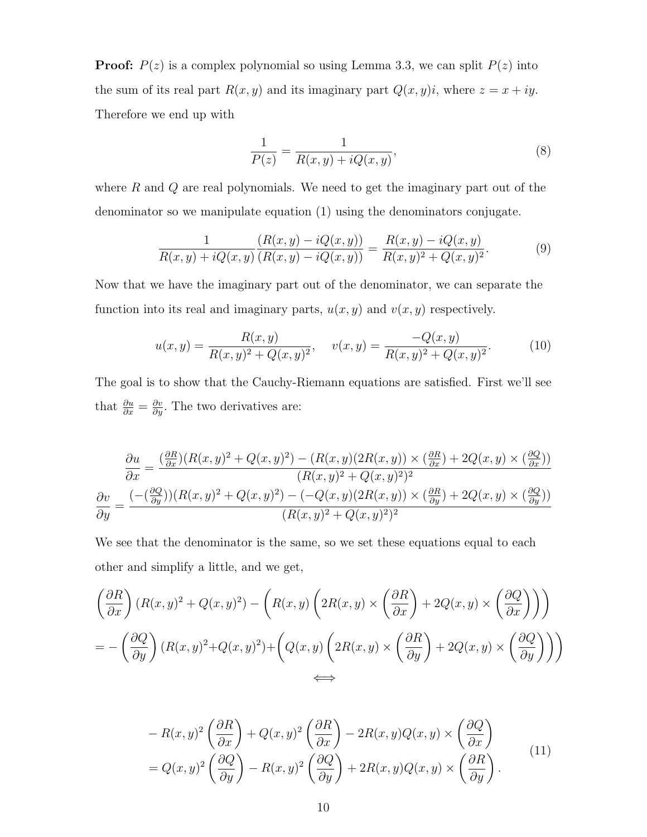**Proof:**  $P(z)$  is a complex polynomial so using Lemma 3.3, we can split  $P(z)$  into the sum of its real part  $R(x, y)$  and its imaginary part  $Q(x, y)i$ , where  $z = x + iy$ . Therefore we end up with

$$
\frac{1}{P(z)} = \frac{1}{R(x, y) + iQ(x, y)},
$$
\n(8)

where  $R$  and  $Q$  are real polynomials. We need to get the imaginary part out of the denominator so we manipulate equation (1) using the denominators conjugate.

$$
\frac{1}{R(x,y) + iQ(x,y)} \frac{(R(x,y) - iQ(x,y))}{(R(x,y) - iQ(x,y))} = \frac{R(x,y) - iQ(x,y)}{R(x,y)^2 + Q(x,y)^2}.
$$
(9)

Now that we have the imaginary part out of the denominator, we can separate the function into its real and imaginary parts,  $u(x, y)$  and  $v(x, y)$  respectively.

$$
u(x,y) = \frac{R(x,y)}{R(x,y)^2 + Q(x,y)^2}, \quad v(x,y) = \frac{-Q(x,y)}{R(x,y)^2 + Q(x,y)^2}.
$$
 (10)

The goal is to show that the Cauchy-Riemann equations are satisfied. First we'll see that  $\frac{\partial u}{\partial x} = \frac{\partial v}{\partial y}$ . The two derivatives are:

$$
\frac{\partial u}{\partial x} = \frac{\left(\frac{\partial R}{\partial x}\right)(R(x,y)^2 + Q(x,y)^2) - (R(x,y)(2R(x,y)) \times \left(\frac{\partial R}{\partial x}\right) + 2Q(x,y) \times \left(\frac{\partial Q}{\partial x}\right))}{(R(x,y)^2 + Q(x,y)^2)^2}
$$
\n
$$
\frac{\partial v}{\partial y} = \frac{\left(-\left(\frac{\partial Q}{\partial y}\right)(R(x,y)^2 + Q(x,y)^2) - (-Q(x,y)(2R(x,y)) \times \left(\frac{\partial R}{\partial y}\right) + 2Q(x,y) \times \left(\frac{\partial Q}{\partial y}\right)\right)}{(R(x,y)^2 + Q(x,y)^2)^2}
$$

We see that the denominator is the same, so we set these equations equal to each other and simplify a little, and we get,

$$
\left(\frac{\partial R}{\partial x}\right)(R(x,y)^2 + Q(x,y)^2) - \left(R(x,y)\left(2R(x,y)\times\left(\frac{\partial R}{\partial x}\right) + 2Q(x,y)\times\left(\frac{\partial Q}{\partial x}\right)\right)\right)
$$
  
= 
$$
-\left(\frac{\partial Q}{\partial y}\right)(R(x,y)^2 + Q(x,y)^2) + \left(Q(x,y)\left(2R(x,y)\times\left(\frac{\partial R}{\partial y}\right) + 2Q(x,y)\times\left(\frac{\partial Q}{\partial y}\right)\right)\right)
$$
  

$$
\iff
$$

$$
-R(x,y)^{2} \left(\frac{\partial R}{\partial x}\right) + Q(x,y)^{2} \left(\frac{\partial R}{\partial x}\right) - 2R(x,y)Q(x,y) \times \left(\frac{\partial Q}{\partial x}\right)
$$
  
=  $Q(x,y)^{2} \left(\frac{\partial Q}{\partial y}\right) - R(x,y)^{2} \left(\frac{\partial Q}{\partial y}\right) + 2R(x,y)Q(x,y) \times \left(\frac{\partial R}{\partial y}\right).$  (11)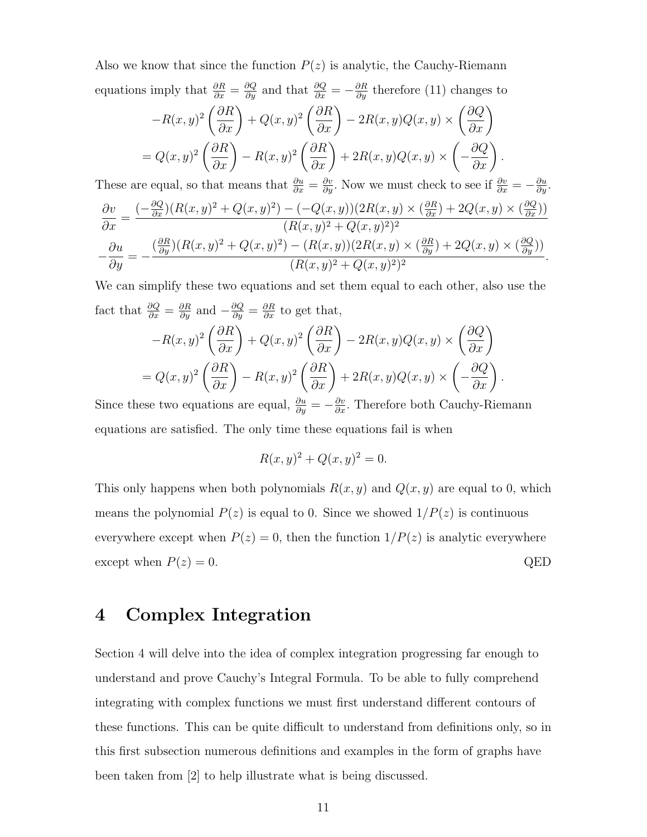Also we know that since the function  $P(z)$  is analytic, the Cauchy-Riemann equations imply that  $\frac{\partial R}{\partial x} = \frac{\partial Q}{\partial y}$  and that  $\frac{\partial Q}{\partial x} = -\frac{\partial R}{\partial y}$  therefore (11) changes to

$$
-R(x,y)^2 \left(\frac{\partial R}{\partial x}\right) + Q(x,y)^2 \left(\frac{\partial R}{\partial x}\right) - 2R(x,y)Q(x,y) \times \left(\frac{\partial Q}{\partial x}\right)
$$

$$
= Q(x,y)^2 \left(\frac{\partial R}{\partial x}\right) - R(x,y)^2 \left(\frac{\partial R}{\partial x}\right) + 2R(x,y)Q(x,y) \times \left(-\frac{\partial Q}{\partial x}\right).
$$

These are equal, so that means that  $\frac{\partial u}{\partial x} = \frac{\partial v}{\partial y}$ . Now we must check to see if  $\frac{\partial v}{\partial x} = -\frac{\partial u}{\partial y}$ .

$$
\frac{\partial v}{\partial x} = \frac{(-\frac{\partial Q}{\partial x})(R(x,y)^2 + Q(x,y)^2) - (-Q(x,y))(2R(x,y) \times (\frac{\partial R}{\partial x}) + 2Q(x,y) \times (\frac{\partial Q}{\partial x}))}{(R(x,y)^2 + Q(x,y)^2)^2}
$$

$$
-\frac{\partial u}{\partial y} = -\frac{(\frac{\partial R}{\partial y})(R(x,y)^2 + Q(x,y)^2) - (R(x,y))(2R(x,y) \times (\frac{\partial R}{\partial y}) + 2Q(x,y) \times (\frac{\partial Q}{\partial y}))}{(R(x,y)^2 + Q(x,y)^2)^2}.
$$

We can simplify these two equations and set them equal to each other, also use the fact that  $\frac{\partial Q}{\partial x} = \frac{\partial R}{\partial y}$  and  $-\frac{\partial Q}{\partial y} = \frac{\partial R}{\partial x}$  to get that,  $-R(x, y)^2 \left(\frac{\partial R}{\partial x}\right)$  $+ Q(x, y)^2 \left(\frac{\partial R}{\partial x}\right)$  $-2R(x,y)Q(x,y)$  ×  $\left(\frac{\partial Q}{\partial x}\right)$  $= Q(x, y)^2 \left(\frac{\partial R}{\partial x}\right)$  $-R(x, y)^2 \left(\frac{\partial R}{\partial x}\right)$  $+ 2R(x, y)Q(x, y) \times$  $\sqrt{ }$  $-\frac{\partial Q}{\partial x}\bigg)$ .

Since these two equations are equal,  $\frac{\partial u}{\partial y} = -\frac{\partial v}{\partial x}$ . Therefore both Cauchy-Riemann equations are satisfied. The only time these equations fail is when

$$
R(x, y)^2 + Q(x, y)^2 = 0.
$$

This only happens when both polynomials  $R(x, y)$  and  $Q(x, y)$  are equal to 0, which means the polynomial  $P(z)$  is equal to 0. Since we showed  $1/P(z)$  is continuous everywhere except when  $P(z) = 0$ , then the function  $1/P(z)$  is analytic everywhere except when  $P(z) = 0$ . QED

# 4 Complex Integration

Section 4 will delve into the idea of complex integration progressing far enough to understand and prove Cauchy's Integral Formula. To be able to fully comprehend integrating with complex functions we must first understand different contours of these functions. This can be quite difficult to understand from definitions only, so in this first subsection numerous definitions and examples in the form of graphs have been taken from [2] to help illustrate what is being discussed.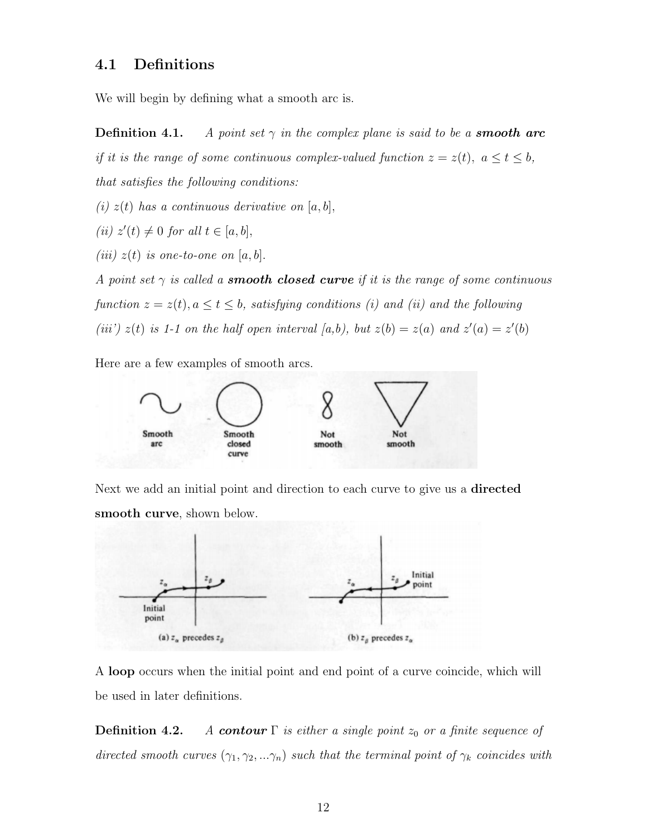#### 4.1 Definitions

We will begin by defining what a smooth arc is.

**Definition 4.1.** A point set  $\gamma$  in the complex plane is said to be a **smooth arc** if it is the range of some continuous complex-valued function  $z = z(t)$ ,  $a \le t \le b$ , that satisfies the following conditions:

(i)  $z(t)$  has a continuous derivative on  $[a, b],$ 

(ii)  $z'(t) \neq 0$  for all  $t \in [a, b],$ 

(iii)  $z(t)$  is one-to-one on [a, b].

A point set  $\gamma$  is called a **smooth closed curve** if it is the range of some continuous function  $z = z(t)$ ,  $a \le t \le b$ , satisfying conditions (i) and (ii) and the following (iii')  $z(t)$  is 1-1 on the half open interval [a,b), but  $z(b) = z(a)$  and  $z'(a) = z'(b)$ 

Here are a few examples of smooth arcs.



Next we add an initial point and direction to each curve to give us a **directed** smooth curve, shown below.



A loop occurs when the initial point and end point of a curve coincide, which will be used in later definitions.

**Definition 4.2.** A contour  $\Gamma$  is either a single point  $z_0$  or a finite sequence of directed smooth curves  $(\gamma_1, \gamma_2, \ldots, \gamma_n)$  such that the terminal point of  $\gamma_k$  coincides with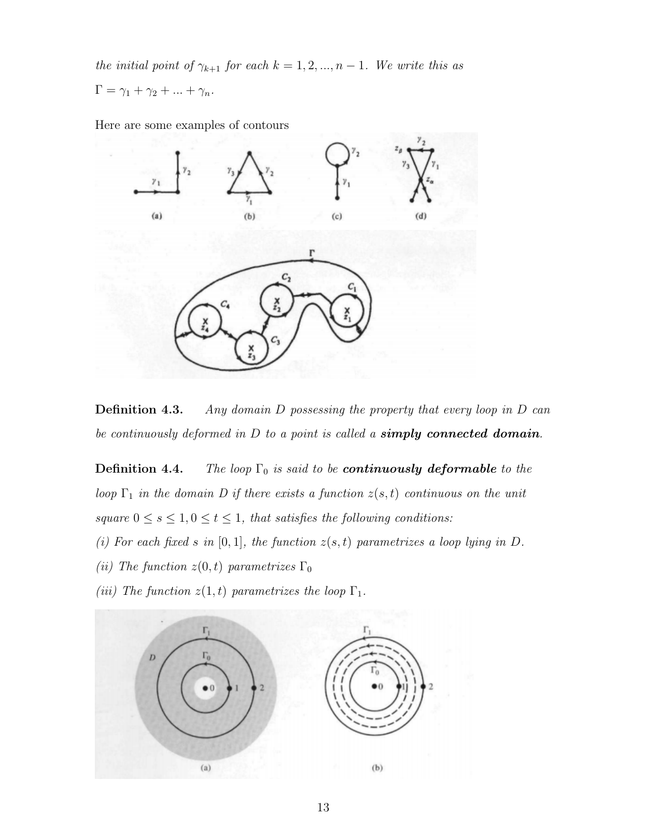the initial point of  $\gamma_{k+1}$  for each  $k = 1, 2, ..., n-1$ . We write this as

$$
\Gamma = \gamma_1 + \gamma_2 + \ldots + \gamma_n.
$$

Here are some examples of contours



**Definition 4.3.** Any domain D possessing the property that every loop in D can be continuously deformed in  $D$  to a point is called a **simply connected domain**.

**Definition 4.4.** The loop  $\Gamma_0$  is said to be **continuously deformable** to the loop  $\Gamma_1$  in the domain D if there exists a function  $z(s,t)$  continuous on the unit  $square\ 0\leq s\leq 1, 0\leq t\leq 1, \;that\; satisfies\; the\;following\; conditions:$ 

- (i) For each fixed s in  $[0, 1]$ , the function  $z(s, t)$  parametrizes a loop lying in D.
- (ii) The function  $z(0, t)$  parametrizes  $\Gamma_0$
- (iii) The function  $z(1,t)$  parametrizes the loop  $\Gamma_1$ .

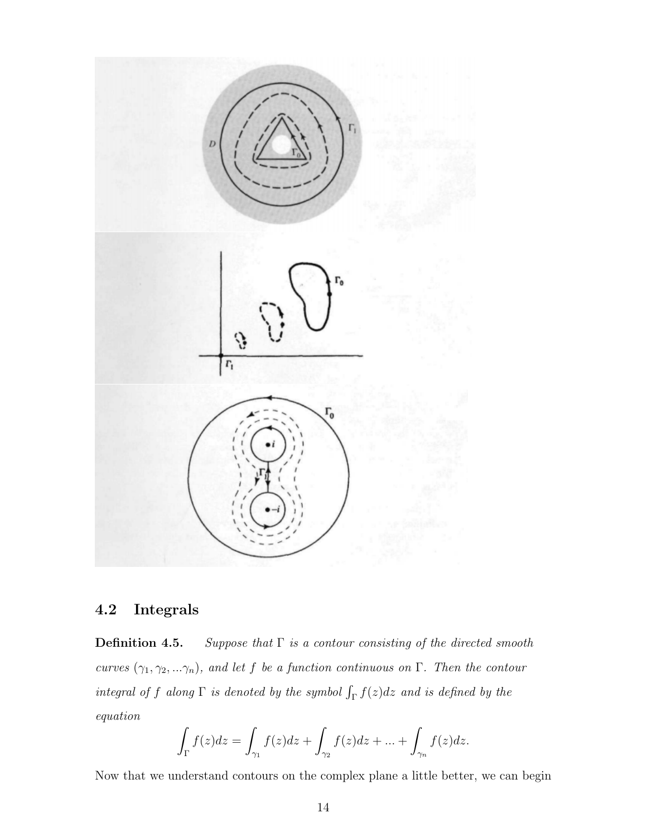

### 4.2 Integrals

**Definition 4.5.** Suppose that  $\Gamma$  is a contour consisting of the directed smooth curves  $(\gamma_1, \gamma_2, \ldots \gamma_n)$ , and let f be a function continuous on Γ. Then the contour integral of f along  $\Gamma$  is denoted by the symbol  $\int_{\Gamma} f(z)dz$  and is defined by the equation

$$
\int_{\Gamma} f(z)dz = \int_{\gamma_1} f(z)dz + \int_{\gamma_2} f(z)dz + \dots + \int_{\gamma_n} f(z)dz.
$$

Now that we understand contours on the complex plane a little better, we can begin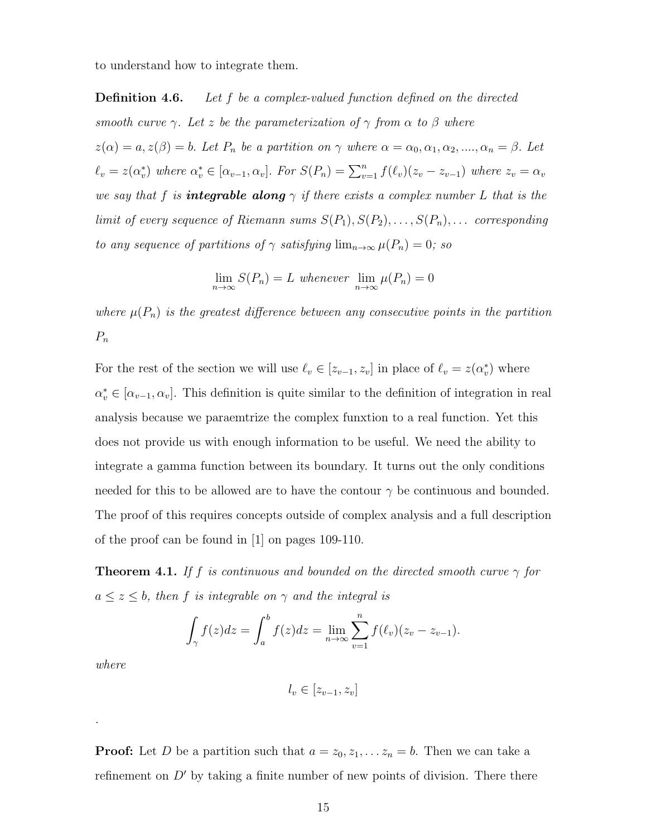to understand how to integrate them.

**Definition 4.6.** Let f be a complex-valued function defined on the directed smooth curve  $\gamma$ . Let z be the parameterization of  $\gamma$  from  $\alpha$  to  $\beta$  where  $z(\alpha) = a, z(\beta) = b$ . Let  $P_n$  be a partition on  $\gamma$  where  $\alpha = \alpha_0, \alpha_1, \alpha_2, ..., \alpha_n = \beta$ . Let  $\ell_v = z(\alpha_v^*)$  where  $\alpha_v^* \in [\alpha_{v-1}, \alpha_v]$ . For  $S(P_n) = \sum_{v=1}^n f(\ell_v)(z_v - z_{v-1})$  where  $z_v = \alpha_v$ we say that f is **integrable along**  $\gamma$  if there exists a complex number L that is the limit of every sequence of Riemann sums  $S(P_1), S(P_2), \ldots, S(P_n), \ldots$  corresponding to any sequence of partitions of  $\gamma$  satisfying  $\lim_{n\to\infty}\mu(P_n)=0$ ; so

$$
\lim_{n \to \infty} S(P_n) = L \text{ whenever } \lim_{n \to \infty} \mu(P_n) = 0
$$

where  $\mu(P_n)$  is the greatest difference between any consecutive points in the partition  $P_n$ 

For the rest of the section we will use  $\ell_v \in [z_{v-1}, z_v]$  in place of  $\ell_v = z(\alpha_v^*)$  where  $\alpha_v^* \in [\alpha_{v-1}, \alpha_v]$ . This definition is quite similar to the definition of integration in real analysis because we paraemtrize the complex funxtion to a real function. Yet this does not provide us with enough information to be useful. We need the ability to integrate a gamma function between its boundary. It turns out the only conditions needed for this to be allowed are to have the contour  $\gamma$  be continuous and bounded. The proof of this requires concepts outside of complex analysis and a full description of the proof can be found in [1] on pages 109-110.

**Theorem 4.1.** If f is continuous and bounded on the directed smooth curve  $\gamma$  for  $a \leq z \leq b$ , then f is integrable on  $\gamma$  and the integral is

$$
\int_{\gamma} f(z)dz = \int_{a}^{b} f(z)dz = \lim_{n \to \infty} \sum_{v=1}^{n} f(\ell_{v})(z_{v} - z_{v-1}).
$$

where

.

 $l_v \in [z_{v-1}, z_v]$ 

**Proof:** Let D be a partition such that  $a = z_0, z_1, \ldots z_n = b$ . Then we can take a refinement on  $D'$  by taking a finite number of new points of division. There there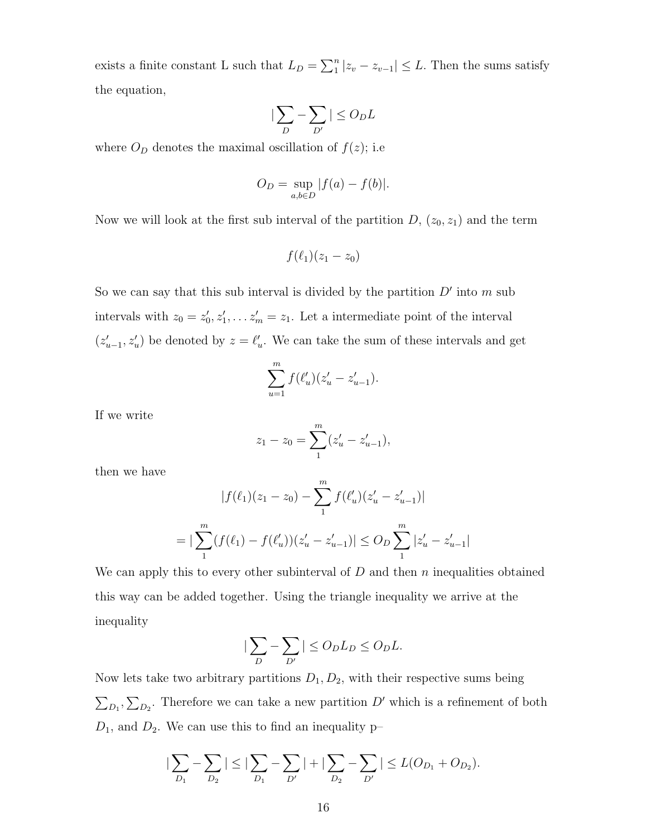exists a finite constant L such that  $L_D = \sum_{1}^{n} |z_v - z_{v-1}| \leq L$ . Then the sums satisfy the equation,

$$
\big|\sum_{D} - \sum_{D'}\big| \leq O_D L
$$

where  $O_D$  denotes the maximal oscillation of  $f(z)$ ; i.e

$$
O_D = \sup_{a,b \in D} |f(a) - f(b)|.
$$

Now we will look at the first sub interval of the partition  $D$ ,  $(z_0, z_1)$  and the term

$$
f(\ell_1)(z_1-z_0)
$$

So we can say that this sub interval is divided by the partition  $D'$  into m sub intervals with  $z_0 = z'_0, z'_1, \ldots z'_m = z_1$ . Let a intermediate point of the interval  $(z'_{u-1}, z'_{u})$  be denoted by  $z = \ell'_{u}$ . We can take the sum of these intervals and get

$$
\sum_{u=1}^{m} f(\ell'_u)(z'_u - z'_{u-1}).
$$

If we write

$$
z_1 - z_0 = \sum_{1}^{m} (z'_u - z'_{u-1}),
$$

then we have

$$
|f(\ell_1)(z_1 - z_0) - \sum_{1}^{m} f(\ell'_u)(z'_u - z'_{u-1})|
$$
  
= 
$$
|\sum_{1}^{m} (f(\ell_1) - f(\ell'_u))(z'_u - z'_{u-1})| \leq O_D \sum_{1}^{m} |z'_u - z'_{u-1}|
$$

We can apply this to every other subinterval of  $D$  and then n inequalities obtained this way can be added together. Using the triangle inequality we arrive at the inequality

$$
\left|\sum_{D} - \sum_{D'}\right| \le O_D L_D \le O_D L.
$$

Now lets take two arbitrary partitions  $D_1, D_2$ , with their respective sums being  $\sum_{D_1}, \sum_{D_2}$ . Therefore we can take a new partition D' which is a refinement of both  $D_1$ , and  $D_2$ . We can use this to find an inequality p-

$$
|\sum_{D_1} - \sum_{D_2}| \leq |\sum_{D_1} - \sum_{D'}| + |\sum_{D_2} - \sum_{D'}| \leq L(O_{D_1} + O_{D_2}).
$$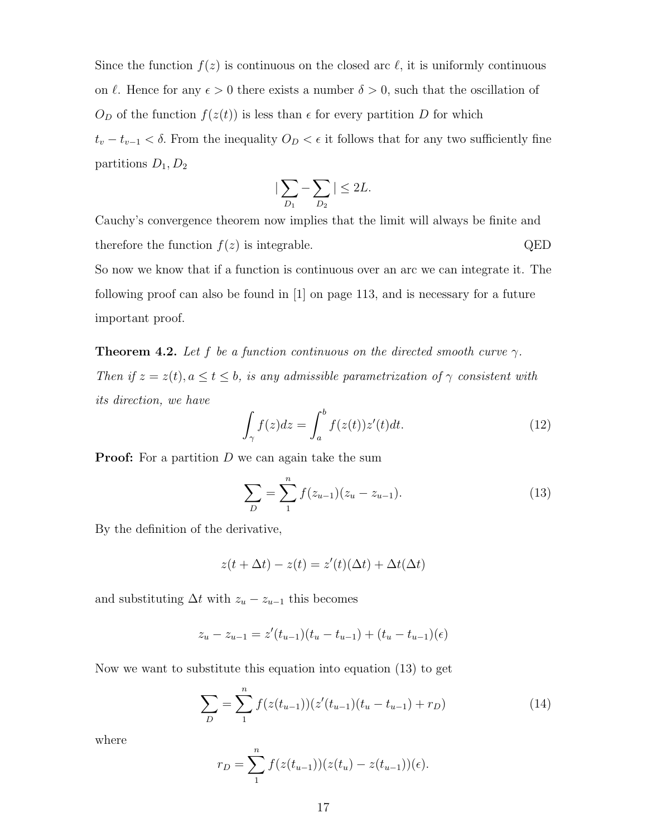Since the function  $f(z)$  is continuous on the closed arc  $\ell$ , it is uniformly continuous on  $\ell$ . Hence for any  $\epsilon > 0$  there exists a number  $\delta > 0$ , such that the oscillation of  $O_D$  of the function  $f(z(t))$  is less than  $\epsilon$  for every partition D for which  $t_v - t_{v-1} < \delta$ . From the inequality  $O_D < \epsilon$  it follows that for any two sufficiently fine partitions  $D_1, D_2$ 

$$
|\sum_{D_1} - \sum_{D_2}| \leq 2L.
$$

Cauchy's convergence theorem now implies that the limit will always be finite and therefore the function  $f(z)$  is integrable. QED So now we know that if a function is continuous over an arc we can integrate it. The

following proof can also be found in [1] on page 113, and is necessary for a future important proof.

**Theorem 4.2.** Let f be a function continuous on the directed smooth curve  $\gamma$ . Then if  $z = z(t)$ ,  $a \le t \le b$ , is any admissible parametrization of  $\gamma$  consistent with its direction, we have

$$
\int_{\gamma} f(z)dz = \int_{a}^{b} f(z(t))z'(t)dt.
$$
\n(12)

**Proof:** For a partition  $D$  we can again take the sum

$$
\sum_{D} = \sum_{1}^{n} f(z_{u-1})(z_u - z_{u-1}).
$$
\n(13)

By the definition of the derivative,

$$
z(t + \Delta t) - z(t) = z'(t)(\Delta t) + \Delta t(\Delta t)
$$

and substituting  $\Delta t$  with  $z_u - z_{u-1}$  this becomes

$$
z_u - z_{u-1} = z'(t_{u-1})(t_u - t_{u-1}) + (t_u - t_{u-1})(\epsilon)
$$

Now we want to substitute this equation into equation (13) to get

$$
\sum_{D} = \sum_{1}^{n} f(z(t_{u-1}))(z'(t_{u-1})(t_u - t_{u-1}) + r_D)
$$
\n(14)

where

$$
r_D = \sum_{1}^{n} f(z(t_{u-1}))(z(t_u) - z(t_{u-1}))(\epsilon).
$$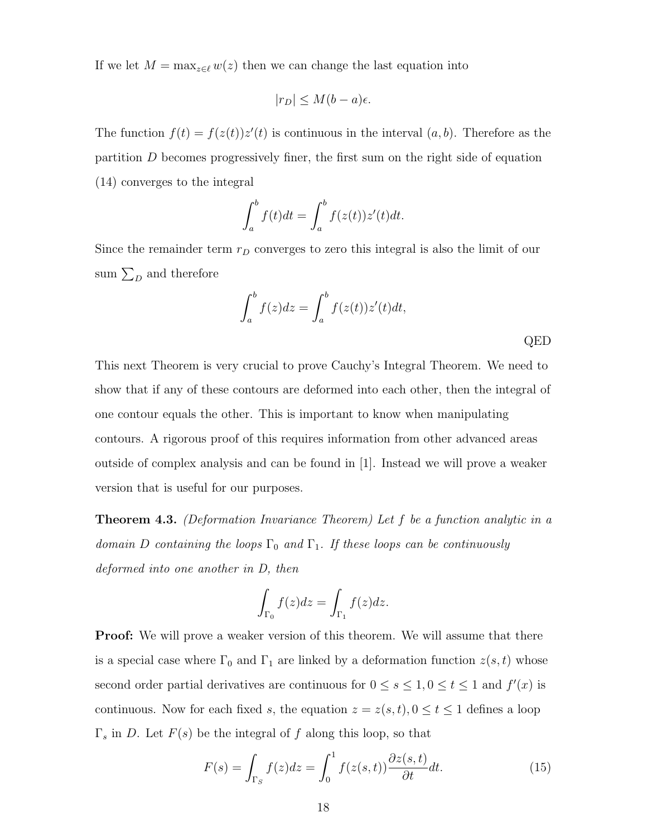If we let  $M = \max_{z \in \ell} w(z)$  then we can change the last equation into

$$
|r_D| \le M(b-a)\epsilon.
$$

The function  $f(t) = f(z(t))z'(t)$  is continuous in the interval  $(a, b)$ . Therefore as the partition  $D$  becomes progressively finer, the first sum on the right side of equation (14) converges to the integral

$$
\int_a^b f(t)dt = \int_a^b f(z(t))z'(t)dt.
$$

Since the remainder term  $r_D$  converges to zero this integral is also the limit of our sum  $\sum_D$  and therefore

$$
\int_{a}^{b} f(z)dz = \int_{a}^{b} f(z(t))z'(t)dt,
$$
 QED

This next Theorem is very crucial to prove Cauchy's Integral Theorem. We need to show that if any of these contours are deformed into each other, then the integral of one contour equals the other. This is important to know when manipulating contours. A rigorous proof of this requires information from other advanced areas outside of complex analysis and can be found in [1]. Instead we will prove a weaker version that is useful for our purposes.

Theorem 4.3. (Deformation Invariance Theorem) Let f be a function analytic in a domain D containing the loops  $\Gamma_0$  and  $\Gamma_1$ . If these loops can be continuously deformed into one another in D, then

$$
\int_{\Gamma_0} f(z)dz = \int_{\Gamma_1} f(z)dz.
$$

**Proof:** We will prove a weaker version of this theorem. We will assume that there is a special case where  $\Gamma_0$  and  $\Gamma_1$  are linked by a deformation function  $z(s, t)$  whose second order partial derivatives are continuous for  $0 \le s \le 1, 0 \le t \le 1$  and  $f'(x)$  is continuous. Now for each fixed s, the equation  $z=z(s,t), 0\le t\le 1$  defines a loop  $\Gamma_s$  in D. Let  $F(s)$  be the integral of f along this loop, so that

$$
F(s) = \int_{\Gamma_S} f(z)dz = \int_0^1 f(z(s,t)) \frac{\partial z(s,t)}{\partial t} dt.
$$
 (15)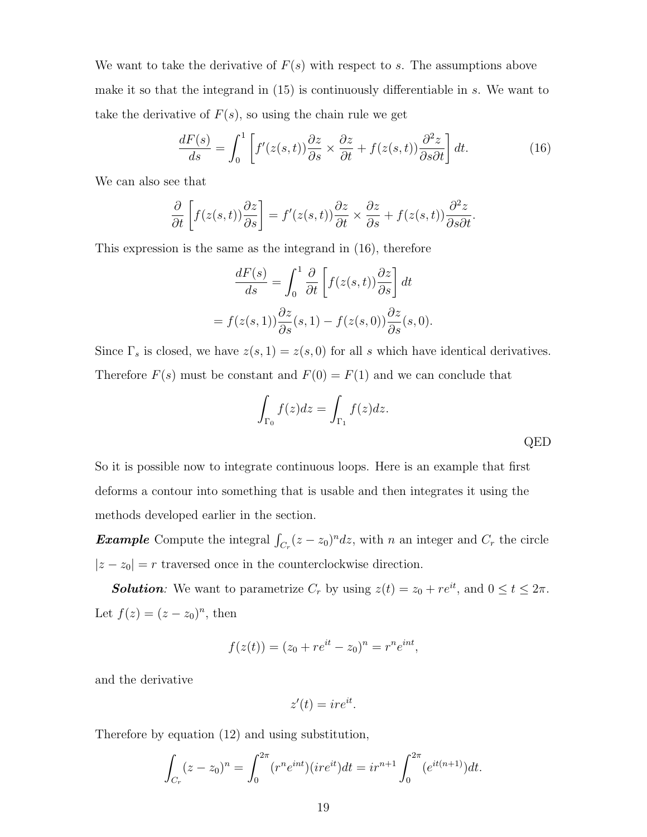We want to take the derivative of  $F(s)$  with respect to s. The assumptions above make it so that the integrand in (15) is continuously differentiable in s. We want to take the derivative of  $F(s)$ , so using the chain rule we get

$$
\frac{dF(s)}{ds} = \int_0^1 \left[ f'(z(s,t)) \frac{\partial z}{\partial s} \times \frac{\partial z}{\partial t} + f(z(s,t)) \frac{\partial^2 z}{\partial s \partial t} \right] dt.
$$
 (16)

We can also see that

$$
\frac{\partial}{\partial t}\left[f(z(s,t))\frac{\partial z}{\partial s}\right] = f'(z(s,t))\frac{\partial z}{\partial t} \times \frac{\partial z}{\partial s} + f(z(s,t))\frac{\partial^2 z}{\partial s \partial t}.
$$

This expression is the same as the integrand in (16), therefore

$$
\frac{dF(s)}{ds} = \int_0^1 \frac{\partial}{\partial t} \left[ f(z(s,t)) \frac{\partial z}{\partial s} \right] dt
$$

$$
= f(z(s,1)) \frac{\partial z}{\partial s}(s,1) - f(z(s,0)) \frac{\partial z}{\partial s}(s,0).
$$

Since  $\Gamma_s$  is closed, we have  $z(s, 1) = z(s, 0)$  for all s which have identical derivatives. Therefore  $F(s)$  must be constant and  $F(0) = F(1)$  and we can conclude that

$$
\int_{\Gamma_0} f(z)dz = \int_{\Gamma_1} f(z)dz.
$$
 QED

So it is possible now to integrate continuous loops. Here is an example that first deforms a contour into something that is usable and then integrates it using the methods developed earlier in the section.

**Example** Compute the integral  $\int_{C_r} (z - z_0)^n dz$ , with n an integer and  $C_r$  the circle  $|z - z_0| = r$  traversed once in the counterclockwise direction.

**Solution:** We want to parametrize  $C_r$  by using  $z(t) = z_0 + re^{it}$ , and  $0 \le t \le 2\pi$ . Let  $f(z) = (z - z_0)^n$ , then

$$
f(z(t)) = (z_0 + re^{it} - z_0)^n = r^n e^{int},
$$

and the derivative

$$
z'(t) = ire^{it}.
$$

Therefore by equation (12) and using substitution,

$$
\int_{C_r} (z - z_0)^n = \int_0^{2\pi} (r^n e^{int}) (ire^{it}) dt = ir^{n+1} \int_0^{2\pi} (e^{it(n+1)}) dt.
$$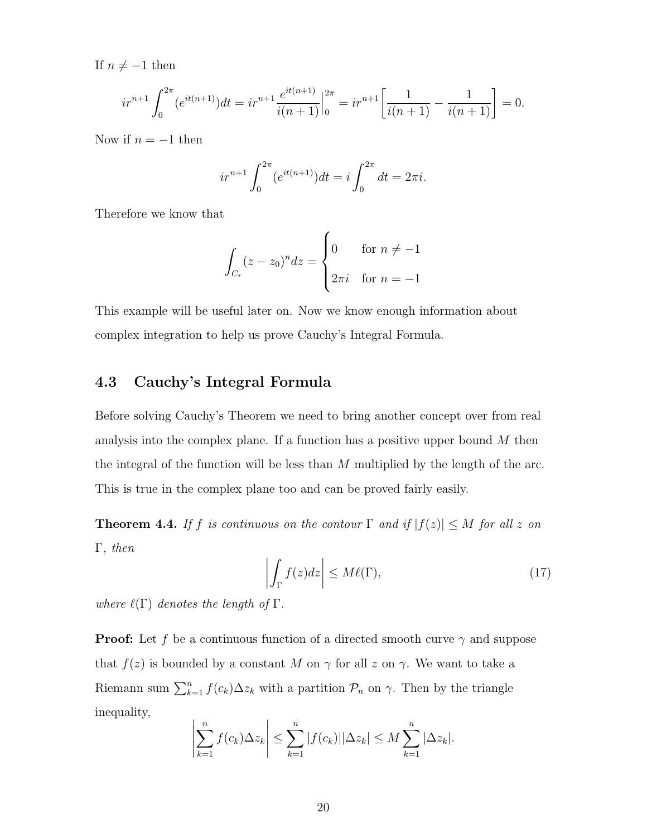If  $n \neq -1$  then

$$
ir^{n+1} \int_0^{2\pi} (e^{it(n+1)}) dt = ir^{n+1} \frac{e^{it(n+1)}}{i(n+1)} \Big|_0^{2\pi} = ir^{n+1} \left[ \frac{1}{i(n+1)} - \frac{1}{i(n+1)} \right] = 0.
$$

Now if  $n = -1$  then

$$
ir^{n+1} \int_0^{2\pi} (e^{it(n+1)}) dt = i \int_0^{2\pi} dt = 2\pi i.
$$

Therefore we know that

$$
\int_{C_r} (z - z_0)^n dz = \begin{cases} 0 & \text{for } n \neq -1 \\ 2\pi i & \text{for } n = -1 \end{cases}
$$

This example will be useful later on. Now we know enough information about complex integration to help us prove Cauchy's Integral Formula.

#### 4.3 Cauchy's Integral Formula

Before solving Cauchy's Theorem we need to bring another concept over from real analysis into the complex plane. If a function has a positive upper bound  $M$  then the integral of the function will be less than  $M$  multiplied by the length of the arc. This is true in the complex plane too and can be proved fairly easily.

**Theorem 4.4.** If f is continuous on the contour  $\Gamma$  and if  $|f(z)| \leq M$  for all z on Γ, then

$$
\left| \int_{\Gamma} f(z)dz \right| \le M\ell(\Gamma),\tag{17}
$$

where  $\ell(\Gamma)$  denotes the length of  $\Gamma$ .

**Proof:** Let f be a continuous function of a directed smooth curve  $\gamma$  and suppose that  $f(z)$  is bounded by a constant M on  $\gamma$  for all z on  $\gamma$ . We want to take a Riemann sum  $\sum_{k=1}^{n} f(c_k) \Delta z_k$  with a partition  $\mathcal{P}_n$  on  $\gamma$ . Then by the triangle inequality,

$$
\left|\sum_{k=1}^n f(c_k)\Delta z_k\right| \leq \sum_{k=1}^n |f(c_k)||\Delta z_k| \leq M \sum_{k=1}^n |\Delta z_k|.
$$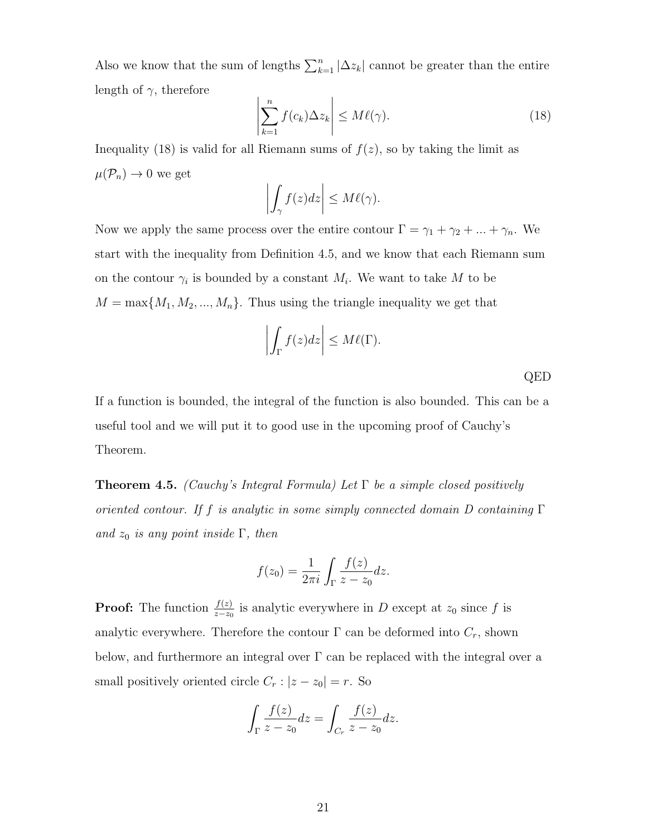Also we know that the sum of lengths  $\sum_{k=1}^{n} |\Delta z_k|$  cannot be greater than the entire length of  $\gamma$ , therefore

$$
\left| \sum_{k=1}^{n} f(c_k) \Delta z_k \right| \le M \ell(\gamma). \tag{18}
$$

Inequality (18) is valid for all Riemann sums of  $f(z)$ , so by taking the limit as  $\mu(\mathcal{P}_n) \to 0$  we get

$$
\left| \int_{\gamma} f(z) dz \right| \leq M \ell(\gamma).
$$

Now we apply the same process over the entire contour  $\Gamma = \gamma_1 + \gamma_2 + ... + \gamma_n$ . We start with the inequality from Definition 4.5, and we know that each Riemann sum on the contour  $\gamma_i$  is bounded by a constant  $M_i$ . We want to take M to be  $M = \max\{M_1, M_2, ..., M_n\}$ . Thus using the triangle inequality we get that

$$
\left| \int_{\Gamma} f(z) dz \right| \leq M \ell(\Gamma).
$$

QED

If a function is bounded, the integral of the function is also bounded. This can be a useful tool and we will put it to good use in the upcoming proof of Cauchy's Theorem.

**Theorem 4.5.** (Cauchy's Integral Formula) Let  $\Gamma$  be a simple closed positively oriented contour. If f is analytic in some simply connected domain D containing  $\Gamma$ and  $z_0$  is any point inside  $\Gamma$ , then

$$
f(z_0) = \frac{1}{2\pi i} \int_{\Gamma} \frac{f(z)}{z - z_0} dz.
$$

**Proof:** The function  $\frac{f(z)}{z-z_0}$  is analytic everywhere in D except at  $z_0$  since f is analytic everywhere. Therefore the contour  $\Gamma$  can be deformed into  $C_r$ , shown below, and furthermore an integral over  $\Gamma$  can be replaced with the integral over a small positively oriented circle  $C_r$  :  $|z - z_0| = r$ . So

$$
\int_{\Gamma} \frac{f(z)}{z - z_0} dz = \int_{C_r} \frac{f(z)}{z - z_0} dz.
$$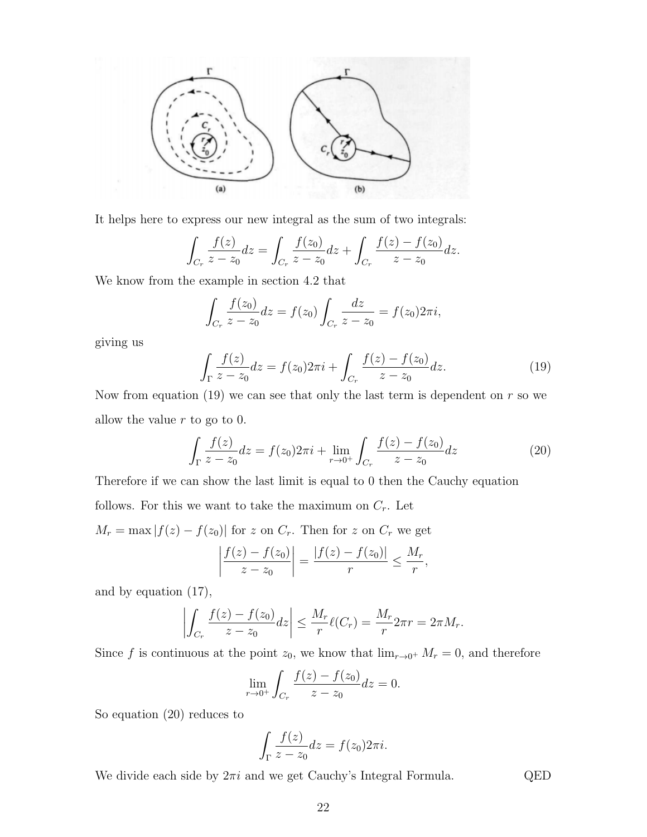

It helps here to express our new integral as the sum of two integrals:

$$
\int_{C_r} \frac{f(z)}{z - z_0} dz = \int_{C_r} \frac{f(z_0)}{z - z_0} dz + \int_{C_r} \frac{f(z) - f(z_0)}{z - z_0} dz.
$$

We know from the example in section 4.2 that

$$
\int_{C_r} \frac{f(z_0)}{z - z_0} dz = f(z_0) \int_{C_r} \frac{dz}{z - z_0} = f(z_0) 2\pi i,
$$

giving us

$$
\int_{\Gamma} \frac{f(z)}{z - z_0} dz = f(z_0) 2\pi i + \int_{C_r} \frac{f(z) - f(z_0)}{z - z_0} dz.
$$
\n(19)

Now from equation (19) we can see that only the last term is dependent on  $r$  so we allow the value  $r$  to go to 0.

$$
\int_{\Gamma} \frac{f(z)}{z - z_0} dz = f(z_0) 2\pi i + \lim_{r \to 0^+} \int_{C_r} \frac{f(z) - f(z_0)}{z - z_0} dz \tag{20}
$$

Therefore if we can show the last limit is equal to 0 then the Cauchy equation follows. For this we want to take the maximum on  $C_r$ . Let  $M_r = \max |f(z) - f(z_0)|$  for z on  $C_r$ . Then for z on  $C_r$  we get

$$
\left| \frac{f(z) - f(z_0)}{z - z_0} \right| = \frac{|f(z) - f(z_0)|}{r} \le \frac{M_r}{r},
$$

and by equation (17),

$$
\left| \int_{C_r} \frac{f(z) - f(z_0)}{z - z_0} dz \right| \leq \frac{M_r}{r} \ell(C_r) = \frac{M_r}{r} 2\pi r = 2\pi M_r.
$$

Since f is continuous at the point  $z_0$ , we know that  $\lim_{r\to 0^+} M_r = 0$ , and therefore

$$
\lim_{r \to 0^+} \int_{C_r} \frac{f(z) - f(z_0)}{z - z_0} dz = 0.
$$

So equation (20) reduces to

$$
\int_{\Gamma} \frac{f(z)}{z - z_0} dz = f(z_0) 2\pi i.
$$

We divide each side by  $2\pi i$  and we get Cauchy's Integral Formula. QED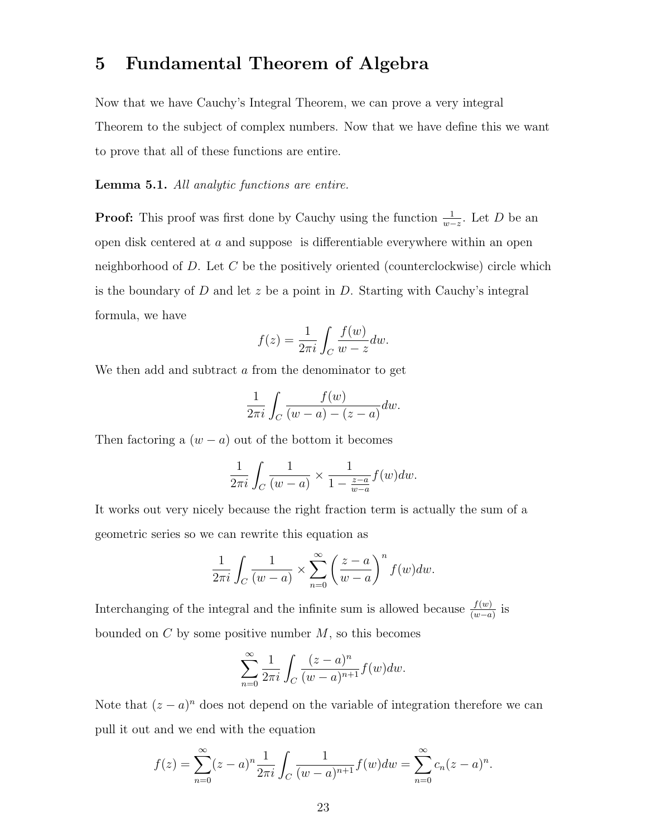### 5 Fundamental Theorem of Algebra

Now that we have Cauchy's Integral Theorem, we can prove a very integral Theorem to the subject of complex numbers. Now that we have define this we want to prove that all of these functions are entire.

Lemma 5.1. All analytic functions are entire.

**Proof:** This proof was first done by Cauchy using the function  $\frac{1}{w-z}$ . Let D be an open disk centered at a and suppose is differentiable everywhere within an open neighborhood of D. Let C be the positively oriented (counterclockwise) circle which is the boundary of  $D$  and let  $z$  be a point in  $D$ . Starting with Cauchy's integral formula, we have

$$
f(z) = \frac{1}{2\pi i} \int_C \frac{f(w)}{w - z} dw.
$$

We then add and subtract a from the denominator to get

$$
\frac{1}{2\pi i} \int_C \frac{f(w)}{(w-a)-(z-a)} dw.
$$

Then factoring a  $(w - a)$  out of the bottom it becomes

$$
\frac{1}{2\pi i} \int_C \frac{1}{(w-a)} \times \frac{1}{1 - \frac{z-a}{w-a}} f(w) dw.
$$

It works out very nicely because the right fraction term is actually the sum of a geometric series so we can rewrite this equation as

$$
\frac{1}{2\pi i} \int_C \frac{1}{(w-a)} \times \sum_{n=0}^{\infty} \left(\frac{z-a}{w-a}\right)^n f(w) dw.
$$

Interchanging of the integral and the infinite sum is allowed because  $\frac{f(w)}{(w-a)}$  is bounded on  $C$  by some positive number  $M$ , so this becomes

$$
\sum_{n=0}^{\infty} \frac{1}{2\pi i} \int_C \frac{(z-a)^n}{(w-a)^{n+1}} f(w) dw.
$$

Note that  $(z - a)^n$  does not depend on the variable of integration therefore we can pull it out and we end with the equation

$$
f(z) = \sum_{n=0}^{\infty} (z-a)^n \frac{1}{2\pi i} \int_C \frac{1}{(w-a)^{n+1}} f(w) dw = \sum_{n=0}^{\infty} c_n (z-a)^n.
$$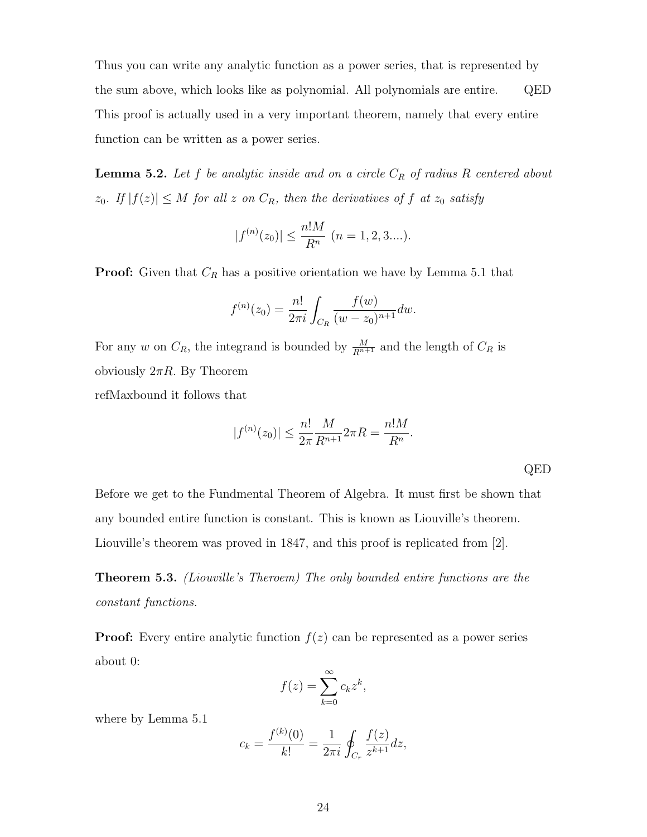Thus you can write any analytic function as a power series, that is represented by the sum above, which looks like as polynomial. All polynomials are entire. QED This proof is actually used in a very important theorem, namely that every entire function can be written as a power series.

**Lemma 5.2.** Let  $f$  be analytic inside and on a circle  $C_R$  of radius  $R$  centered about  $z_0$ . If  $|f(z)| \leq M$  for all z on  $C_R$ , then the derivatives of f at  $z_0$  satisfy

$$
|f^{(n)}(z_0)| \le \frac{n!M}{R^n} \ (n = 1, 2, 3....).
$$

**Proof:** Given that  $C_R$  has a positive orientation we have by Lemma 5.1 that

$$
f^{(n)}(z_0) = \frac{n!}{2\pi i} \int_{C_R} \frac{f(w)}{(w - z_0)^{n+1}} dw.
$$

For any w on  $C_R$ , the integrand is bounded by  $\frac{M}{R^{n+1}}$  and the length of  $C_R$  is obviously  $2\pi R$ . By Theorem refMaxbound it follows that

$$
|f^{(n)}(z_0)| \le \frac{n!}{2\pi} \frac{M}{R^{n+1}} 2\pi R = \frac{n!M}{R^n}.
$$

QED

Before we get to the Fundmental Theorem of Algebra. It must first be shown that any bounded entire function is constant. This is known as Liouville's theorem. Liouville's theorem was proved in 1847, and this proof is replicated from [2].

**Theorem 5.3.** (Liouville's Theroem) The only bounded entire functions are the constant functions.

**Proof:** Every entire analytic function  $f(z)$  can be represented as a power series about 0:

$$
f(z) = \sum_{k=0}^{\infty} c_k z^k,
$$

where by Lemma 5.1

$$
c_k = \frac{f^{(k)}(0)}{k!} = \frac{1}{2\pi i} \oint_{C_r} \frac{f(z)}{z^{k+1}} dz,
$$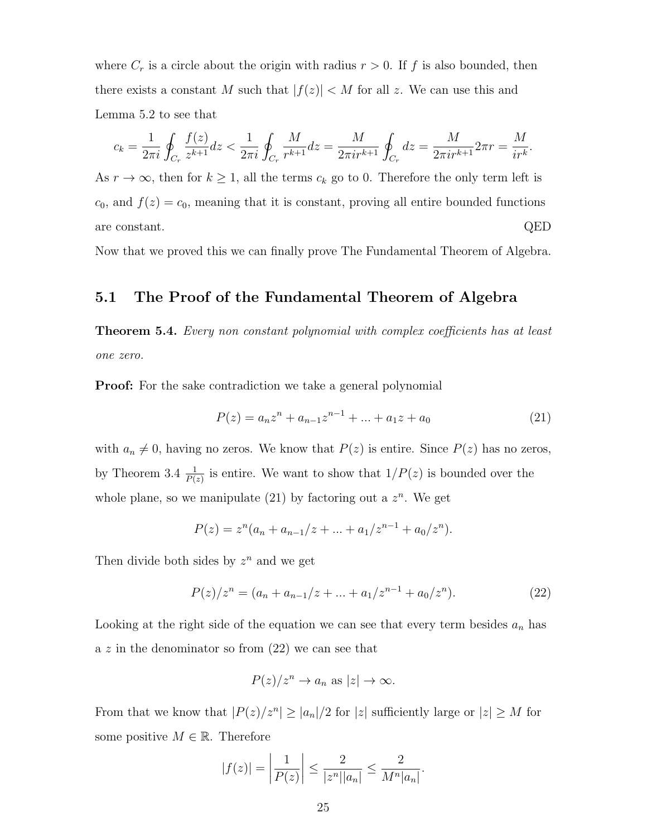where  $C_r$  is a circle about the origin with radius  $r > 0$ . If f is also bounded, then there exists a constant M such that  $|f(z)| < M$  for all z. We can use this and Lemma 5.2 to see that

$$
c_k = \frac{1}{2\pi i} \oint_{C_r} \frac{f(z)}{z^{k+1}} dz < \frac{1}{2\pi i} \oint_{C_r} \frac{M}{r^{k+1}} dz = \frac{M}{2\pi i r^{k+1}} \oint_{C_r} dz = \frac{M}{2\pi i r^{k+1}} 2\pi r = \frac{M}{ir^k}.
$$

As  $r \to \infty$ , then for  $k \geq 1$ , all the terms  $c_k$  go to 0. Therefore the only term left is  $c_0$ , and  $f(z) = c_0$ , meaning that it is constant, proving all entire bounded functions are constant. QED

Now that we proved this we can finally prove The Fundamental Theorem of Algebra.

#### 5.1 The Proof of the Fundamental Theorem of Algebra

**Theorem 5.4.** Every non constant polynomial with complex coefficients has at least one zero.

**Proof:** For the sake contradiction we take a general polynomial

$$
P(z) = a_n z^n + a_{n-1} z^{n-1} + \dots + a_1 z + a_0 \tag{21}
$$

with  $a_n \neq 0$ , having no zeros. We know that  $P(z)$  is entire. Since  $P(z)$  has no zeros, by Theorem 3.4  $\frac{1}{P(z)}$  is entire. We want to show that  $1/P(z)$  is bounded over the whole plane, so we manipulate  $(21)$  by factoring out a  $z<sup>n</sup>$ . We get

$$
P(z) = zn(an + an-1/z + ... + a1/zn-1 + a0/zn).
$$

Then divide both sides by  $z^n$  and we get

$$
P(z)/z^{n} = (a_{n} + a_{n-1}/z + \dots + a_{1}/z^{n-1} + a_{0}/z^{n}).
$$
\n(22)

Looking at the right side of the equation we can see that every term besides  $a_n$  has a  $z$  in the denominator so from  $(22)$  we can see that

$$
P(z)/z^n \to a_n \text{ as } |z| \to \infty.
$$

From that we know that  $|P(z)/z^n| \ge |a_n|/2$  for  $|z|$  sufficiently large or  $|z| \ge M$  for some positive  $M \in \mathbb{R}$ . Therefore

$$
|f(z)| = \left| \frac{1}{P(z)} \right| \le \frac{2}{|z^n||a_n|} \le \frac{2}{M^n|a_n|}.
$$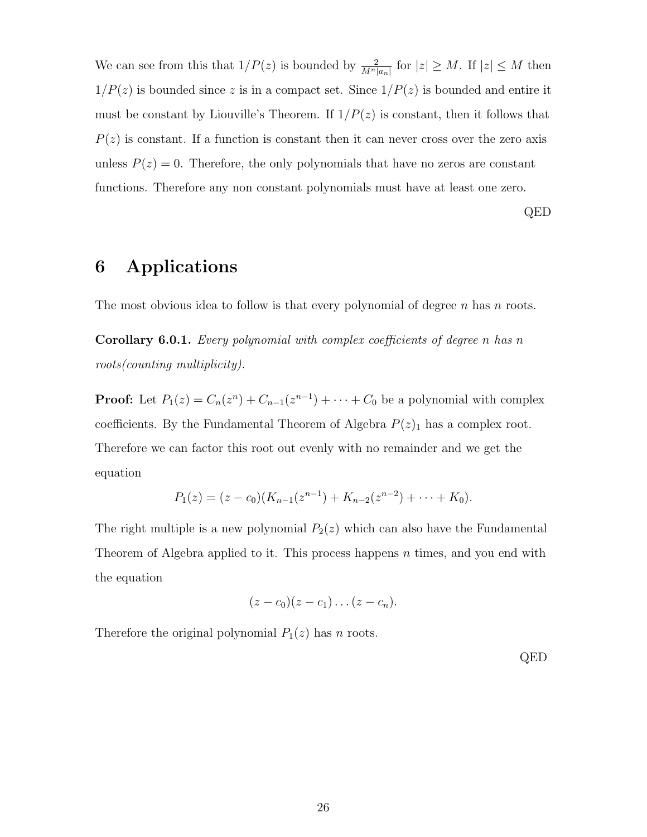We can see from this that  $1/P(z)$  is bounded by  $\frac{2}{M^n|a_n|}$  for  $|z| \geq M$ . If  $|z| \leq M$  then  $1/P(z)$  is bounded since z is in a compact set. Since  $1/P(z)$  is bounded and entire it must be constant by Liouville's Theorem. If  $1/P(z)$  is constant, then it follows that  $P(z)$  is constant. If a function is constant then it can never cross over the zero axis unless  $P(z) = 0$ . Therefore, the only polynomials that have no zeros are constant functions. Therefore any non constant polynomials must have at least one zero.

QED

# 6 Applications

The most obvious idea to follow is that every polynomial of degree  $n$  has  $n$  roots.

Corollary 6.0.1. Every polynomial with complex coefficients of degree n has n roots(counting multiplicity).

**Proof:** Let  $P_1(z) = C_n(z^n) + C_{n-1}(z^{n-1}) + \cdots + C_0$  be a polynomial with complex coefficients. By the Fundamental Theorem of Algebra  $P(z)$ <sub>1</sub> has a complex root. Therefore we can factor this root out evenly with no remainder and we get the equation

$$
P_1(z) = (z - c_0)(K_{n-1}(z^{n-1}) + K_{n-2}(z^{n-2}) + \cdots + K_0).
$$

The right multiple is a new polynomial  $P_2(z)$  which can also have the Fundamental Theorem of Algebra applied to it. This process happens  $n$  times, and you end with the equation

$$
(z-c_0)(z-c_1)\dots(z-c_n).
$$

Therefore the original polynomial  $P_1(z)$  has n roots.

QED